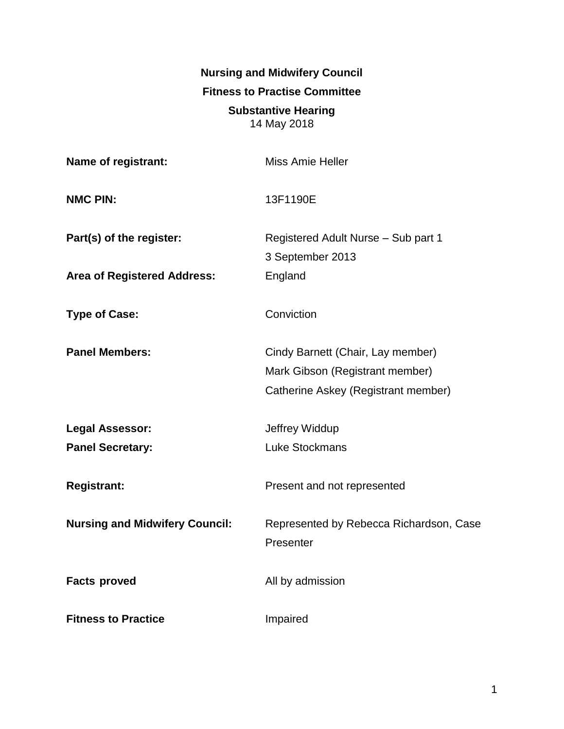**Nursing and Midwifery Council Fitness to Practise Committee Substantive Hearing** 14 May 2018

| Name of registrant:                   | <b>Miss Amie Heller</b>                                                                                     |
|---------------------------------------|-------------------------------------------------------------------------------------------------------------|
| <b>NMC PIN:</b>                       | 13F1190E                                                                                                    |
| Part(s) of the register:              | Registered Adult Nurse - Sub part 1<br>3 September 2013                                                     |
| <b>Area of Registered Address:</b>    | England                                                                                                     |
| <b>Type of Case:</b>                  | Conviction                                                                                                  |
| <b>Panel Members:</b>                 | Cindy Barnett (Chair, Lay member)<br>Mark Gibson (Registrant member)<br>Catherine Askey (Registrant member) |
| <b>Legal Assessor:</b>                | Jeffrey Widdup                                                                                              |
| <b>Panel Secretary:</b>               | <b>Luke Stockmans</b>                                                                                       |
| <b>Registrant:</b>                    | Present and not represented                                                                                 |
| <b>Nursing and Midwifery Council:</b> | Represented by Rebecca Richardson, Case<br>Presenter                                                        |
| <b>Facts proved</b>                   | All by admission                                                                                            |
| <b>Fitness to Practice</b>            | Impaired                                                                                                    |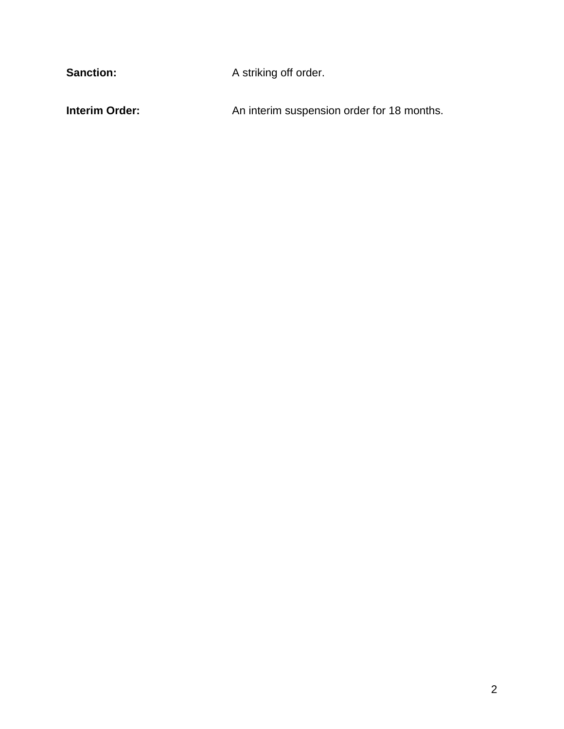Sanction: **A striking off order. Interim Order: An interim suspension order for 18 months.**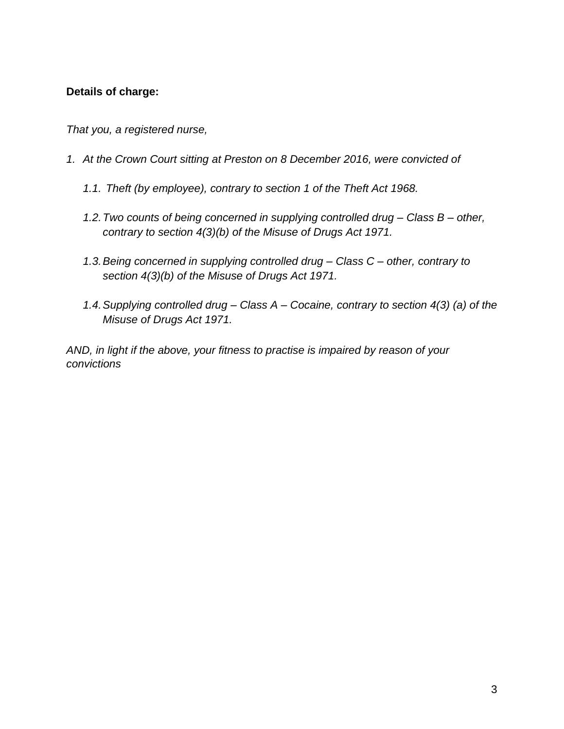# **Details of charge:**

*That you, a registered nurse,*

- *1. At the Crown Court sitting at Preston on 8 December 2016, were convicted of*
	- *1.1. Theft (by employee), contrary to section 1 of the Theft Act 1968.*
	- *1.2.Two counts of being concerned in supplying controlled drug – Class B – other, contrary to section 4(3)(b) of the Misuse of Drugs Act 1971.*
	- *1.3.Being concerned in supplying controlled drug – Class C – other, contrary to section 4(3)(b) of the Misuse of Drugs Act 1971.*
	- *1.4.Supplying controlled drug – Class A – Cocaine, contrary to section 4(3) (a) of the Misuse of Drugs Act 1971.*

*AND, in light if the above, your fitness to practise is impaired by reason of your convictions*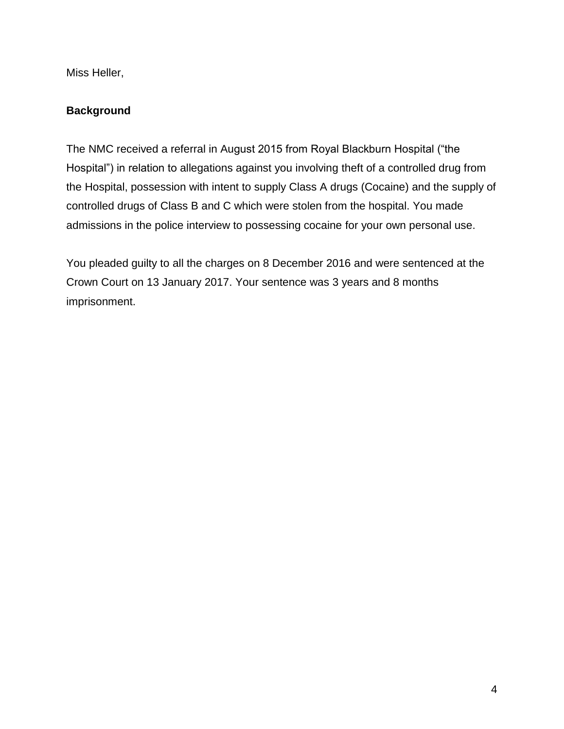Miss Heller,

# **Background**

The NMC received a referral in August 2015 from Royal Blackburn Hospital ("the Hospital") in relation to allegations against you involving theft of a controlled drug from the Hospital, possession with intent to supply Class A drugs (Cocaine) and the supply of controlled drugs of Class B and C which were stolen from the hospital. You made admissions in the police interview to possessing cocaine for your own personal use.

You pleaded guilty to all the charges on 8 December 2016 and were sentenced at the Crown Court on 13 January 2017. Your sentence was 3 years and 8 months imprisonment.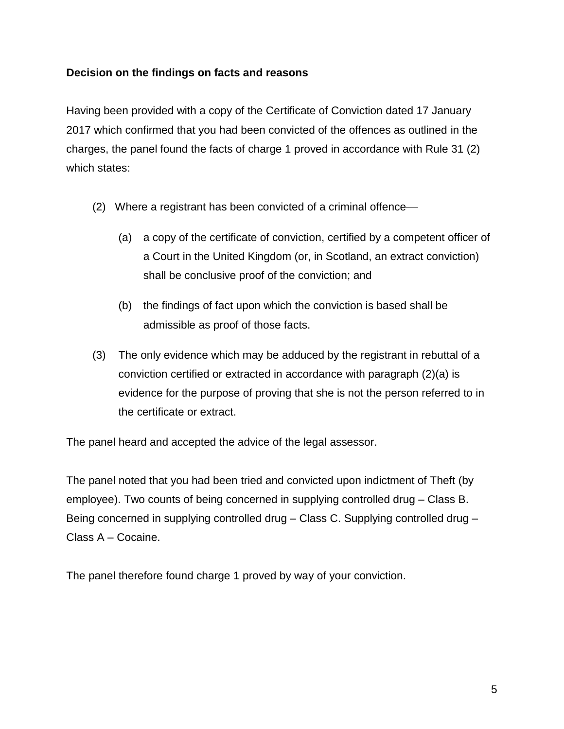# **Decision on the findings on facts and reasons**

Having been provided with a copy of the Certificate of Conviction dated 17 January 2017 which confirmed that you had been convicted of the offences as outlined in the charges, the panel found the facts of charge 1 proved in accordance with Rule 31 (2) which states:

- (2) Where a registrant has been convicted of a criminal offence
	- (a) a copy of the certificate of conviction, certified by a competent officer of a Court in the United Kingdom (or, in Scotland, an extract conviction) shall be conclusive proof of the conviction; and
	- (b) the findings of fact upon which the conviction is based shall be admissible as proof of those facts.
- (3) The only evidence which may be adduced by the registrant in rebuttal of a conviction certified or extracted in accordance with paragraph (2)(a) is evidence for the purpose of proving that she is not the person referred to in the certificate or extract.

The panel heard and accepted the advice of the legal assessor.

The panel noted that you had been tried and convicted upon indictment of Theft (by employee). Two counts of being concerned in supplying controlled drug – Class B. Being concerned in supplying controlled drug – Class C. Supplying controlled drug – Class A – Cocaine.

The panel therefore found charge 1 proved by way of your conviction.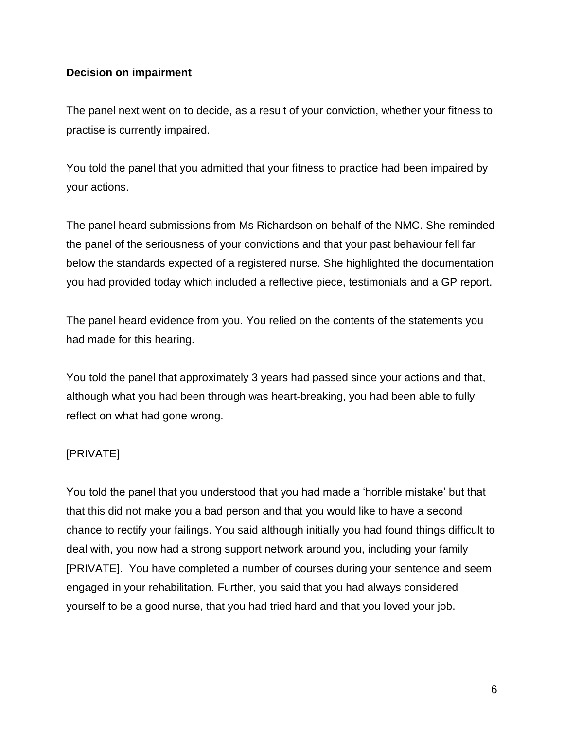### **Decision on impairment**

The panel next went on to decide, as a result of your conviction, whether your fitness to practise is currently impaired.

You told the panel that you admitted that your fitness to practice had been impaired by your actions.

The panel heard submissions from Ms Richardson on behalf of the NMC. She reminded the panel of the seriousness of your convictions and that your past behaviour fell far below the standards expected of a registered nurse. She highlighted the documentation you had provided today which included a reflective piece, testimonials and a GP report.

The panel heard evidence from you. You relied on the contents of the statements you had made for this hearing.

You told the panel that approximately 3 years had passed since your actions and that, although what you had been through was heart-breaking, you had been able to fully reflect on what had gone wrong.

### [PRIVATE]

You told the panel that you understood that you had made a 'horrible mistake' but that that this did not make you a bad person and that you would like to have a second chance to rectify your failings. You said although initially you had found things difficult to deal with, you now had a strong support network around you, including your family [PRIVATE]. You have completed a number of courses during your sentence and seem engaged in your rehabilitation. Further, you said that you had always considered yourself to be a good nurse, that you had tried hard and that you loved your job.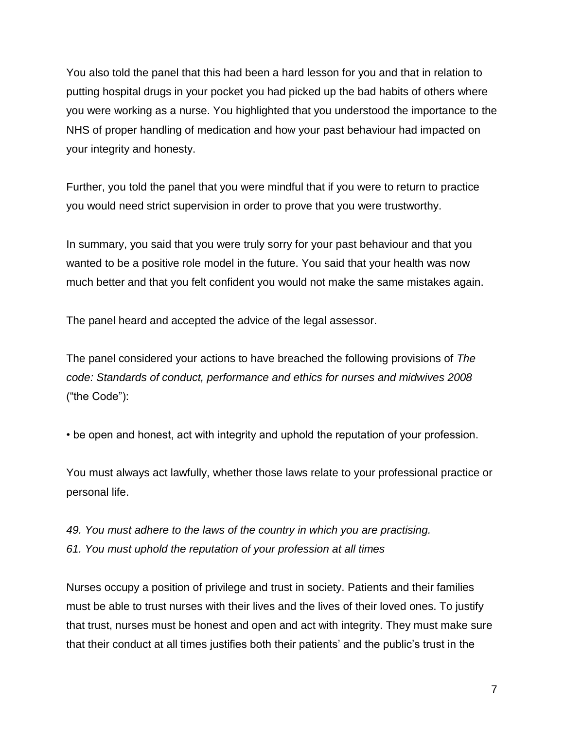You also told the panel that this had been a hard lesson for you and that in relation to putting hospital drugs in your pocket you had picked up the bad habits of others where you were working as a nurse. You highlighted that you understood the importance to the NHS of proper handling of medication and how your past behaviour had impacted on your integrity and honesty.

Further, you told the panel that you were mindful that if you were to return to practice you would need strict supervision in order to prove that you were trustworthy.

In summary, you said that you were truly sorry for your past behaviour and that you wanted to be a positive role model in the future. You said that your health was now much better and that you felt confident you would not make the same mistakes again.

The panel heard and accepted the advice of the legal assessor.

The panel considered your actions to have breached the following provisions of *The code: Standards of conduct, performance and ethics for nurses and midwives 2008*  ("the Code"):

• be open and honest, act with integrity and uphold the reputation of your profession.

You must always act lawfully, whether those laws relate to your professional practice or personal life.

*49. You must adhere to the laws of the country in which you are practising. 61. You must uphold the reputation of your profession at all times*

Nurses occupy a position of privilege and trust in society. Patients and their families must be able to trust nurses with their lives and the lives of their loved ones. To justify that trust, nurses must be honest and open and act with integrity. They must make sure that their conduct at all times justifies both their patients' and the public's trust in the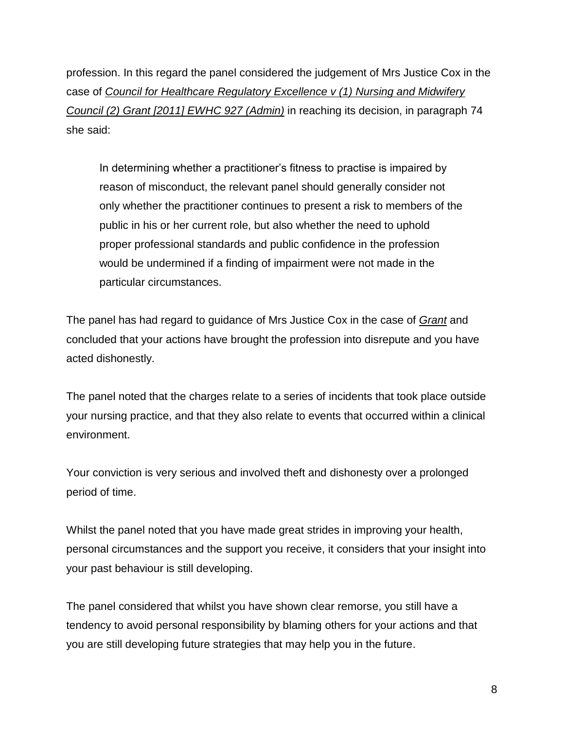profession. In this regard the panel considered the judgement of Mrs Justice Cox in the case of *Council for Healthcare Regulatory Excellence v (1) Nursing and Midwifery Council (2) Grant [2011] EWHC 927 (Admin)* in reaching its decision, in paragraph 74 she said:

In determining whether a practitioner's fitness to practise is impaired by reason of misconduct, the relevant panel should generally consider not only whether the practitioner continues to present a risk to members of the public in his or her current role, but also whether the need to uphold proper professional standards and public confidence in the profession would be undermined if a finding of impairment were not made in the particular circumstances.

The panel has had regard to guidance of Mrs Justice Cox in the case of *Grant* and concluded that your actions have brought the profession into disrepute and you have acted dishonestly.

The panel noted that the charges relate to a series of incidents that took place outside your nursing practice, and that they also relate to events that occurred within a clinical environment.

Your conviction is very serious and involved theft and dishonesty over a prolonged period of time.

Whilst the panel noted that you have made great strides in improving your health, personal circumstances and the support you receive, it considers that your insight into your past behaviour is still developing.

The panel considered that whilst you have shown clear remorse, you still have a tendency to avoid personal responsibility by blaming others for your actions and that you are still developing future strategies that may help you in the future.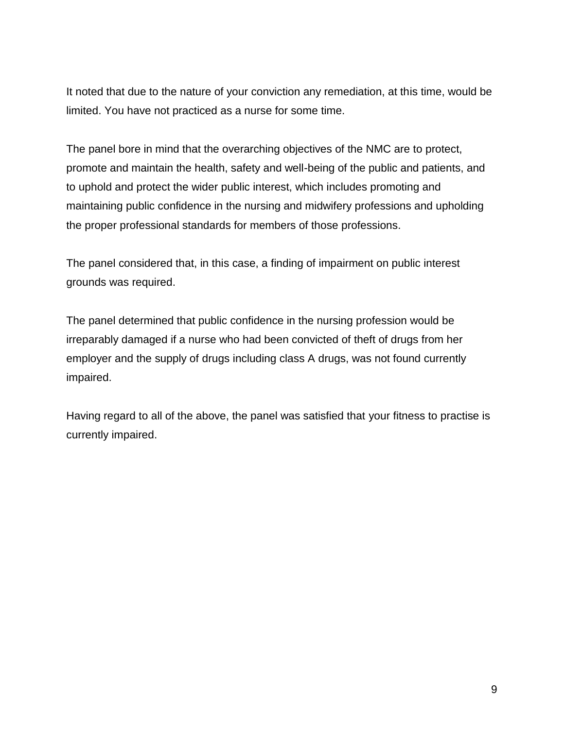It noted that due to the nature of your conviction any remediation, at this time, would be limited. You have not practiced as a nurse for some time.

The panel bore in mind that the overarching objectives of the NMC are to protect, promote and maintain the health, safety and well-being of the public and patients, and to uphold and protect the wider public interest, which includes promoting and maintaining public confidence in the nursing and midwifery professions and upholding the proper professional standards for members of those professions.

The panel considered that, in this case, a finding of impairment on public interest grounds was required.

The panel determined that public confidence in the nursing profession would be irreparably damaged if a nurse who had been convicted of theft of drugs from her employer and the supply of drugs including class A drugs, was not found currently impaired.

Having regard to all of the above, the panel was satisfied that your fitness to practise is currently impaired.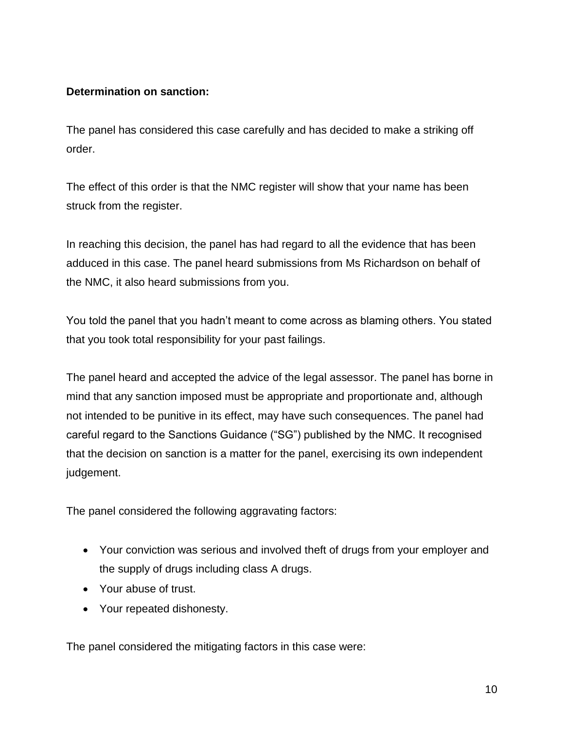# **Determination on sanction:**

The panel has considered this case carefully and has decided to make a striking off order.

The effect of this order is that the NMC register will show that your name has been struck from the register.

In reaching this decision, the panel has had regard to all the evidence that has been adduced in this case. The panel heard submissions from Ms Richardson on behalf of the NMC, it also heard submissions from you.

You told the panel that you hadn't meant to come across as blaming others. You stated that you took total responsibility for your past failings.

The panel heard and accepted the advice of the legal assessor. The panel has borne in mind that any sanction imposed must be appropriate and proportionate and, although not intended to be punitive in its effect, may have such consequences. The panel had careful regard to the Sanctions Guidance ("SG") published by the NMC. It recognised that the decision on sanction is a matter for the panel, exercising its own independent judgement.

The panel considered the following aggravating factors:

- Your conviction was serious and involved theft of drugs from your employer and the supply of drugs including class A drugs.
- Your abuse of trust.
- Your repeated dishonesty.

The panel considered the mitigating factors in this case were: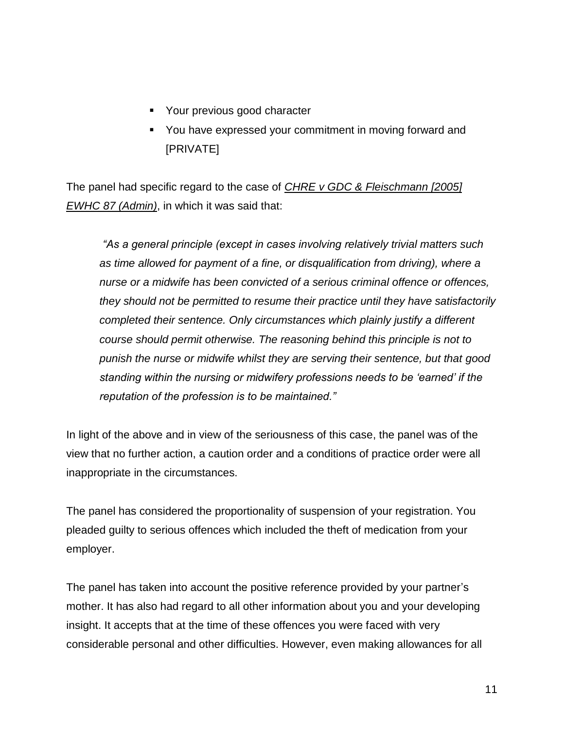- **•** Your previous good character
- You have expressed your commitment in moving forward and [PRIVATE]

The panel had specific regard to the case of *CHRE v GDC & Fleischmann [2005] EWHC 87 (Admin)*, in which it was said that:

*"As a general principle (except in cases involving relatively trivial matters such as time allowed for payment of a fine, or disqualification from driving), where a nurse or a midwife has been convicted of a serious criminal offence or offences, they should not be permitted to resume their practice until they have satisfactorily completed their sentence. Only circumstances which plainly justify a different course should permit otherwise. The reasoning behind this principle is not to punish the nurse or midwife whilst they are serving their sentence, but that good standing within the nursing or midwifery professions needs to be 'earned' if the reputation of the profession is to be maintained."*

In light of the above and in view of the seriousness of this case, the panel was of the view that no further action, a caution order and a conditions of practice order were all inappropriate in the circumstances.

The panel has considered the proportionality of suspension of your registration. You pleaded guilty to serious offences which included the theft of medication from your employer.

The panel has taken into account the positive reference provided by your partner's mother. It has also had regard to all other information about you and your developing insight. It accepts that at the time of these offences you were faced with very considerable personal and other difficulties. However, even making allowances for all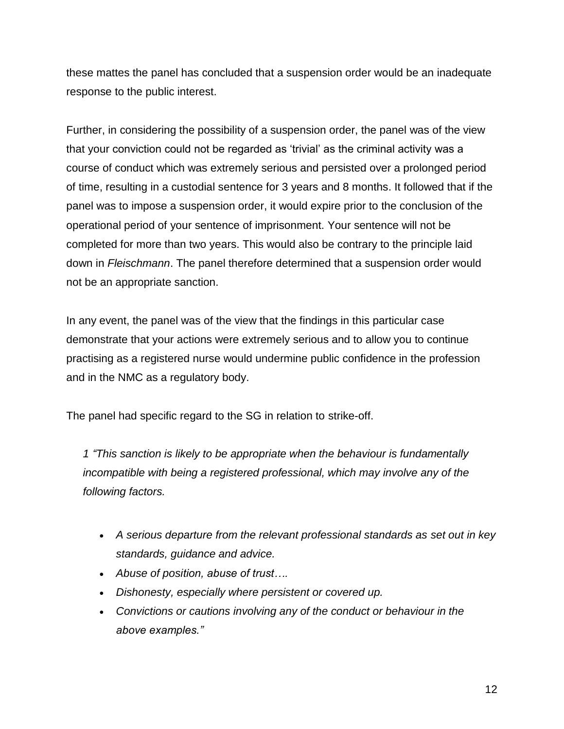these mattes the panel has concluded that a suspension order would be an inadequate response to the public interest.

Further, in considering the possibility of a suspension order, the panel was of the view that your conviction could not be regarded as 'trivial' as the criminal activity was a course of conduct which was extremely serious and persisted over a prolonged period of time, resulting in a custodial sentence for 3 years and 8 months. It followed that if the panel was to impose a suspension order, it would expire prior to the conclusion of the operational period of your sentence of imprisonment. Your sentence will not be completed for more than two years. This would also be contrary to the principle laid down in *Fleischmann*. The panel therefore determined that a suspension order would not be an appropriate sanction.

In any event, the panel was of the view that the findings in this particular case demonstrate that your actions were extremely serious and to allow you to continue practising as a registered nurse would undermine public confidence in the profession and in the NMC as a regulatory body.

The panel had specific regard to the SG in relation to strike-off.

*1 "This sanction is likely to be appropriate when the behaviour is fundamentally incompatible with being a registered professional, which may involve any of the following factors.*

- *A serious departure from the relevant professional standards as set out in key standards, guidance and advice.*
- *Abuse of position, abuse of trust….*
- *Dishonesty, especially where persistent or covered up.*
- *Convictions or cautions involving any of the conduct or behaviour in the above examples."*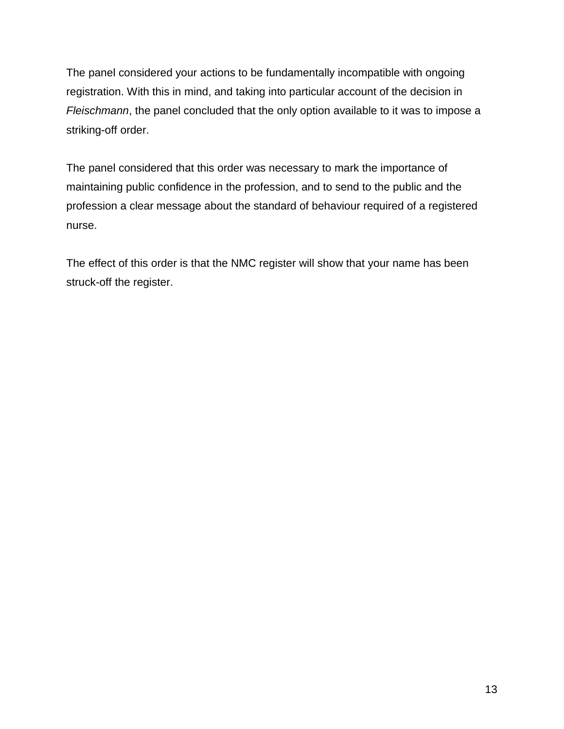The panel considered your actions to be fundamentally incompatible with ongoing registration. With this in mind, and taking into particular account of the decision in *Fleischmann*, the panel concluded that the only option available to it was to impose a striking-off order.

The panel considered that this order was necessary to mark the importance of maintaining public confidence in the profession, and to send to the public and the profession a clear message about the standard of behaviour required of a registered nurse.

The effect of this order is that the NMC register will show that your name has been struck-off the register.